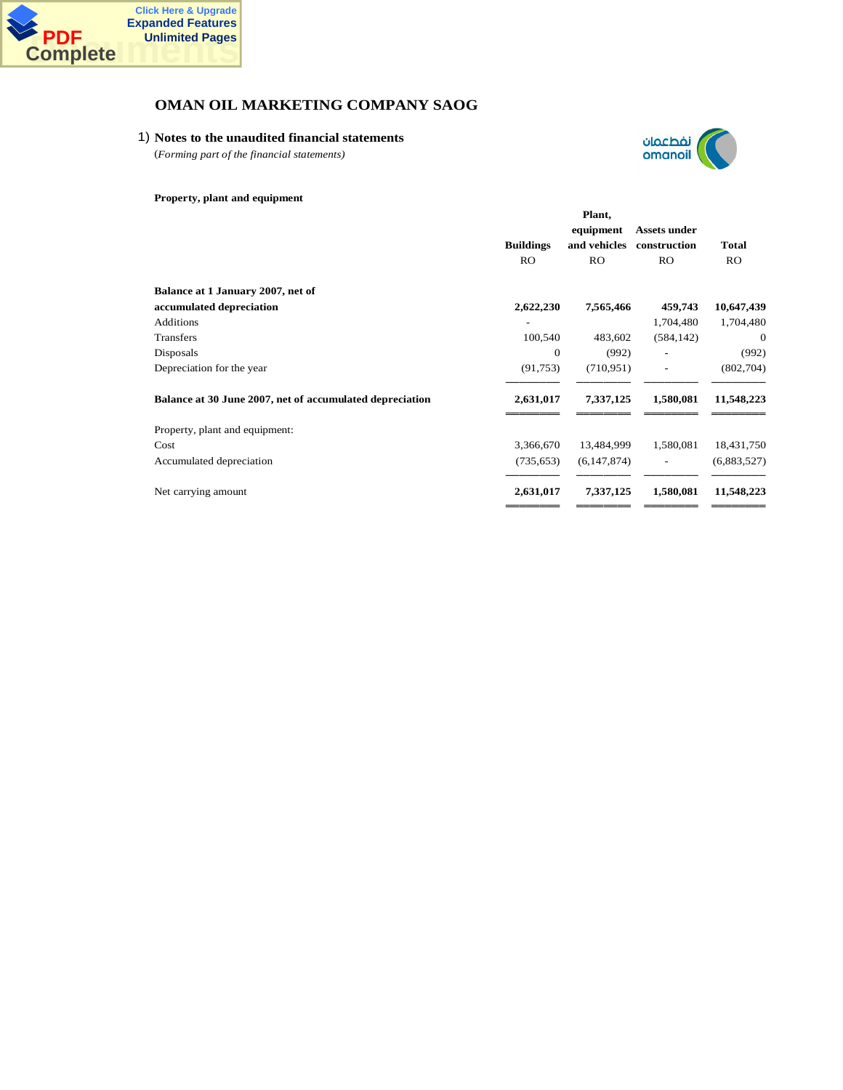

## 1) **Notes to the unaudited financial statements**

(*Forming part of the financial statements)*



### **Property, plant and equipment**

|                                                          | Plant,           |               |              |              |  |
|----------------------------------------------------------|------------------|---------------|--------------|--------------|--|
|                                                          |                  | equipment     | Assets under |              |  |
|                                                          | <b>Buildings</b> | and vehicles  | construction | Total        |  |
|                                                          | RO               | <b>RO</b>     | <b>RO</b>    | <b>RO</b>    |  |
| Balance at 1 January 2007, net of                        |                  |               |              |              |  |
| accumulated depreciation                                 | 2,622,230        | 7,565,466     | 459,743      | 10,647,439   |  |
| <b>Additions</b>                                         |                  |               | 1,704,480    | 1,704,480    |  |
| <b>Transfers</b>                                         | 100,540          | 483,602       | (584, 142)   | $\mathbf{0}$ |  |
| Disposals                                                | $\overline{0}$   | (992)         |              | (992)        |  |
| Depreciation for the year                                | (91, 753)        | (710, 951)    |              | (802,704)    |  |
| Balance at 30 June 2007, net of accumulated depreciation | 2,631,017        | 7,337,125     | 1,580,081    | 11,548,223   |  |
| Property, plant and equipment:                           |                  |               |              |              |  |
| Cost                                                     | 3,366,670        | 13,484,999    | 1,580,081    | 18,431,750   |  |
| Accumulated depreciation                                 | (735, 653)       | (6, 147, 874) |              | (6,883,527)  |  |
| Net carrying amount                                      | 2,631,017        | 7,337,125     | 1,580,081    | 11,548,223   |  |
|                                                          |                  |               |              |              |  |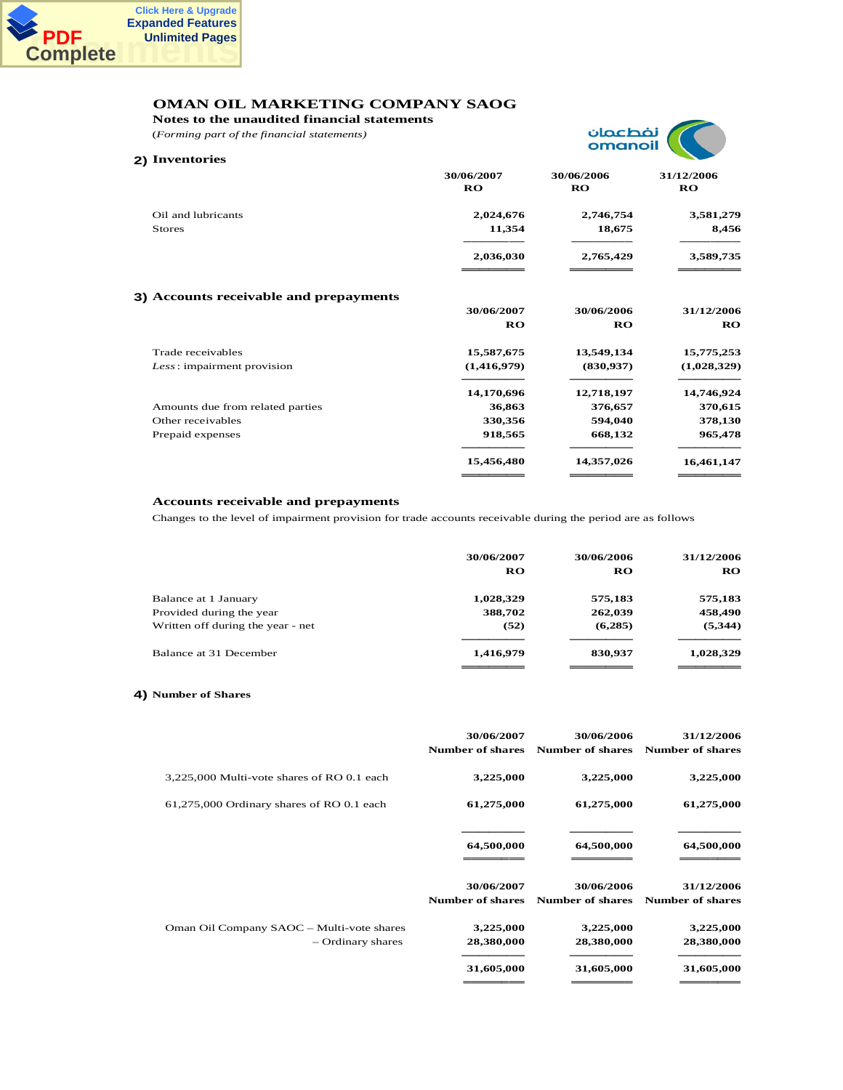

**Notes to the unaudited financial statements**

(*Forming part of the financial statements)*



| 2) Inventories                         |                         | .                       |                         |
|----------------------------------------|-------------------------|-------------------------|-------------------------|
|                                        | 30/06/2007<br><b>RO</b> | 30/06/2006<br><b>RO</b> | 31/12/2006<br><b>RO</b> |
| Oil and lubricants<br><b>Stores</b>    | 2,024,676<br>11,354     | 2,746,754<br>18,675     | 3,581,279<br>8,456      |
|                                        | 2,036,030               | 2,765,429               | 3,589,735               |
| 3) Accounts receivable and prepayments |                         |                         |                         |
|                                        | 30/06/2007              | 30/06/2006              | 31/12/2006              |
|                                        | <b>RO</b>               | <b>RO</b>               | <b>RO</b>               |
| Trade receivables                      | 15,587,675              | 13,549,134              | 15,775,253              |
| Less: impairment provision             | (1,416,979)             | (830, 937)              | (1,028,329)             |
|                                        | 14,170,696              | 12,718,197              | 14,746,924              |
| Amounts due from related parties       | 36,863                  | 376,657                 | 370,615                 |
| Other receivables                      | 330,356                 | 594,040                 | 378,130                 |
| Prepaid expenses                       | 918,565                 | 668,132                 | 965,478                 |
|                                        | 15,456,480              | 14,357,026              | 16,461,147              |
|                                        |                         |                         |                         |

### **Accounts receivable and prepayments**

Changes to the level of impairment provision for trade accounts receivable during the period are as follows

|                                   | 30/06/2007<br>RO | 30/06/2006<br>RO | 31/12/2006<br>RO. |
|-----------------------------------|------------------|------------------|-------------------|
| Balance at 1 January              | 1,028,329        | 575,183          | 575,183           |
| Provided during the year          | 388,702          | 262,039          | 458,490           |
| Written off during the year - net | (52)             | (6,285)          | (5,344)           |
| Balance at 31 December            | 1,416,979        | 830,937          | 1,028,329         |
|                                   |                  |                  |                   |

### **4) Number of Shares**

|                                                                | 30/06/2007<br><b>Number of shares</b> | 30/06/2006<br><b>Number of shares</b> | 31/12/2006<br><b>Number of shares</b> |
|----------------------------------------------------------------|---------------------------------------|---------------------------------------|---------------------------------------|
| 3,225,000 Multi-vote shares of RO 0.1 each                     | 3,225,000                             | 3,225,000                             | 3,225,000                             |
| 61,275,000 Ordinary shares of RO 0.1 each                      | 61,275,000                            | 61,275,000                            | 61,275,000                            |
|                                                                | 64,500,000                            | 64,500,000                            | 64,500,000                            |
|                                                                | 30/06/2007<br><b>Number of shares</b> | 30/06/2006<br><b>Number of shares</b> | 31/12/2006<br><b>Number of shares</b> |
| Oman Oil Company SAOC - Multi-vote shares<br>- Ordinary shares | 3,225,000<br>28,380,000               | 3,225,000<br>28,380,000               | 3,225,000<br>28,380,000               |
|                                                                | 31,605,000                            | 31,605,000                            | 31,605,000                            |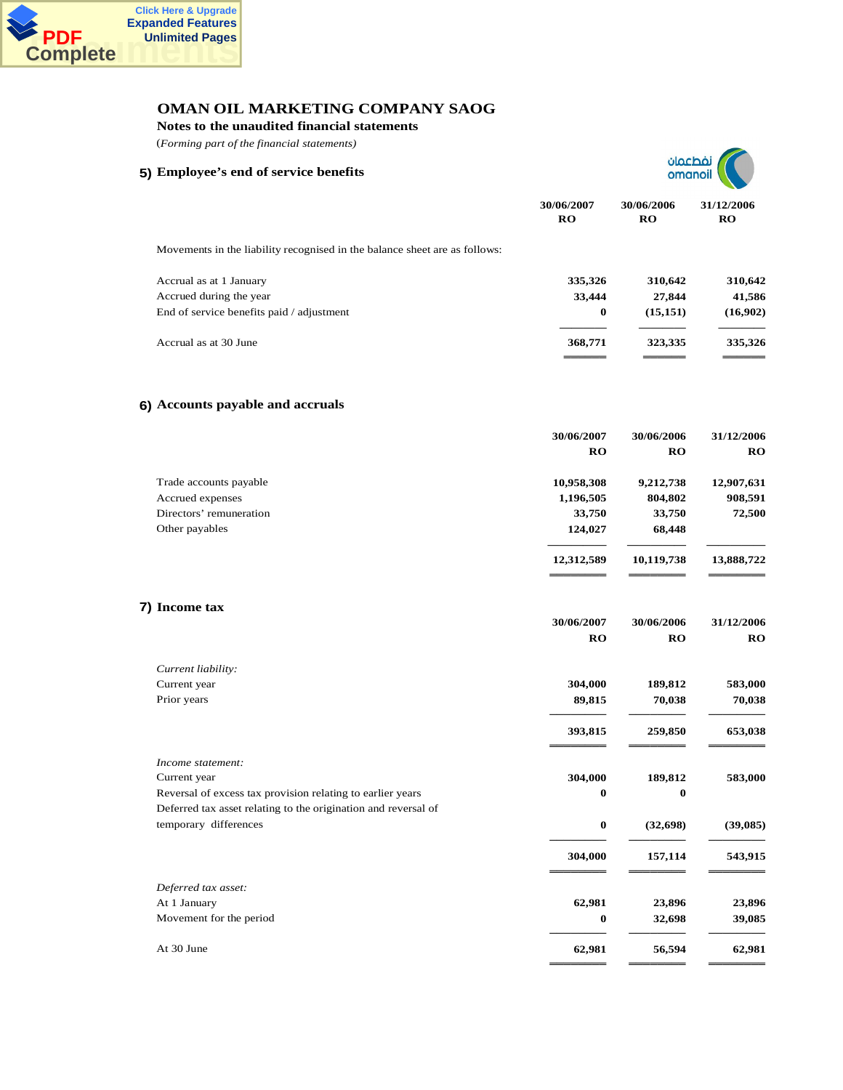

**Notes to the unaudited financial statements**

(*Forming part of the financial statements)*





<del>őőőőőőő</del> <del>őőőőőő</del> <del>őőőőőő</del>

**30/06/2007 30/06/2006 31/12/2006**

|                                                                            | 30/06/2007<br><b>RO</b> | 30/06/2006<br><b>RO</b> | 31/12/2006<br>RO |
|----------------------------------------------------------------------------|-------------------------|-------------------------|------------------|
| Movements in the liability recognised in the balance sheet are as follows: |                         |                         |                  |
| Accrual as at 1 January                                                    | 335,326                 | 310,642                 | 310,642          |
| Accrued during the year                                                    | 33,444                  | 27,844                  | 41,586           |
| End of service benefits paid / adjustment                                  | $\bf{0}$                | (15, 151)               | (16,902)         |
| Accrual as at 30 June                                                      | 368,771                 | 323,335                 | 335,326          |

## **6) Accounts payable and accruals**

|                         | 30/06/2007 | 30/06/2006 | 31/12/2006 |
|-------------------------|------------|------------|------------|
|                         | <b>RO</b>  | <b>RO</b>  | <b>RO</b>  |
| Trade accounts payable  | 10,958,308 | 9,212,738  | 12,907,631 |
| Accrued expenses        | 1,196,505  | 804,802    | 908,591    |
| Directors' remuneration | 33,750     | 33,750     | 72,500     |
| Other payables          | 124,027    | 68,448     |            |
|                         | 12,312,589 | 10,119,738 | 13,888,722 |

## **7) Income tax**

|                                                                | <b>RO</b> | <b>RO</b> | $\mathbf{RO}$ |
|----------------------------------------------------------------|-----------|-----------|---------------|
| Current liability:                                             |           |           |               |
| Current year                                                   | 304,000   | 189,812   | 583,000       |
| Prior years                                                    | 89,815    | 70,038    | 70,038        |
|                                                                | 393,815   | 259,850   | 653,038       |
| Income statement:                                              |           |           |               |
| Current year                                                   | 304,000   | 189,812   | 583,000       |
| Reversal of excess tax provision relating to earlier years     | $\bf{0}$  | $\bf{0}$  |               |
| Deferred tax asset relating to the origination and reversal of |           |           |               |
| temporary differences                                          | $\bf{0}$  | (32, 698) | (39,085)      |
|                                                                | 304,000   | 157,114   | 543,915       |
| Deferred tax asset:                                            |           |           |               |
| At 1 January                                                   | 62,981    | 23,896    | 23,896        |
| Movement for the period                                        | $\bf{0}$  | 32,698    | 39,085        |
| At 30 June                                                     | 62,981    | 56,594    | 62,981        |